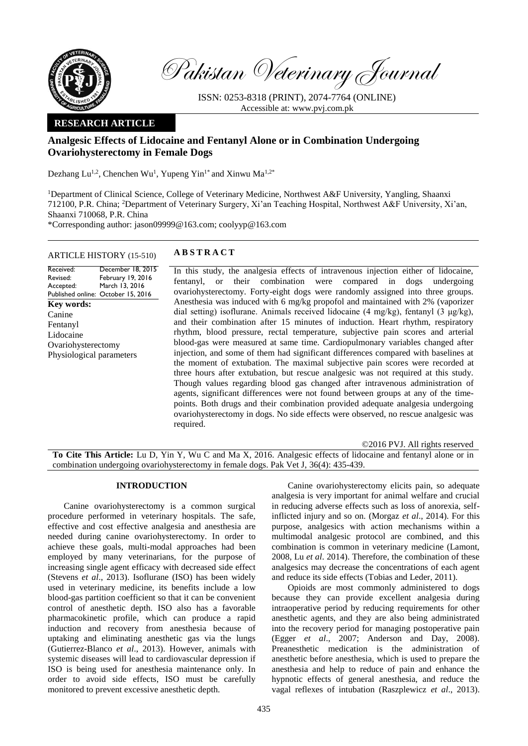

Pakistan Veterinary Journal

ISSN: 0253-8318 (PRINT), 2074-7764 (ONLINE) Accessible at: [www.pvj.com.pk](http://www.pvj.com.pk/)

# **RESEARCH ARTICLE**

# **Analgesic Effects of Lidocaine and Fentanyl Alone or in Combination Undergoing Ovariohysterectomy in Female Dogs**

Dezhang Lu<sup>1,2</sup>, Chenchen Wu<sup>1</sup>, Yupeng Yin<sup>1\*</sup> and Xinwu Ma<sup>1,2\*</sup>

<sup>1</sup>Department of Clinical Science, College of Veterinary Medicine, Northwest A&F University, Yangling, Shaanxi 712100, P.R. China; <sup>2</sup>Department of Veterinary Surgery, Xi'an Teaching Hospital, Northwest A&F University, Xi'an, Shaanxi 710068, P.R. China

\*Corresponding author: jason09999@163.com; coolyyp@163.com

# ARTICLE HISTORY (15-510) **A B S T R A C T**

#### Received: Revised: Accepted: Published online: October 15, 2016 December 18, 2015 February 19, 2016 March 13, 2016 **Key words:**  Canine Fentanyl Lidocaine Ovariohysterectomy Physiological parameters

In this study, the analgesia effects of intravenous injection either of lidocaine, fentanyl, or their combination were compared in dogs undergoing ovariohysterectomy. Forty-eight dogs were randomly assigned into three groups. Anesthesia was induced with 6 mg/kg propofol and maintained with 2% (vaporizer dial setting) isoflurane. Animals received lidocaine (4 mg/kg), fentanyl (3 μg/kg), and their combination after 15 minutes of induction. Heart rhythm, respiratory rhythm, blood pressure, rectal temperature, subjective pain scores and arterial blood-gas were measured at same time. Cardiopulmonary variables changed after injection, and some of them had significant differences compared with baselines at the moment of extubation. The maximal subjective pain scores were recorded at three hours after extubation, but rescue analgesic was not required at this study. Though values regarding blood gas changed after intravenous administration of agents, significant differences were not found between groups at any of the timepoints. Both drugs and their combination provided adequate analgesia undergoing ovariohysterectomy in dogs. No side effects were observed, no rescue analgesic was required.

## ©2016 PVJ. All rights reserved

**To Cite This Article:** Lu D, Yin Y, Wu C and Ma X, 2016. Analgesic effects of lidocaine and fentanyl alone or in combination undergoing ovariohysterectomy in female dogs. Pak Vet J, 36(4): 435-439.

## **INTRODUCTION**

Canine ovariohysterectomy is a common surgical procedure performed in veterinary hospitals. The safe, effective and cost effective analgesia and anesthesia are needed during canine ovariohysterectomy. In order to achieve these goals, multi-modal approaches had been employed by many veterinarians, for the purpose of increasing single agent efficacy with decreased side effect (Stevens *et al*., 2013). Isoflurane (ISO) has been widely used in veterinary medicine, its benefits include a low blood-gas partition coefficient so that it can be convenient control of anesthetic depth. ISO also has a favorable pharmacokinetic profile, which can produce a rapid induction and recovery from anesthesia because of uptaking and eliminating anesthetic gas via the lungs (Gutierrez-Blanco *et al*., 2013). However, animals with systemic diseases will lead to cardiovascular depression if ISO is being used for anesthesia maintenance only. In order to avoid side effects, ISO must be carefully monitored to prevent excessive anesthetic depth.

Canine ovariohysterectomy elicits pain, so adequate analgesia is very important for animal welfare and crucial in reducing adverse effects such as loss of anorexia, selfinflicted injury and so on. (Morgaz *et al*., 2014). For this purpose, analgesics with action mechanisms within a multimodal analgesic protocol are combined, and this combination is common in veterinary medicine (Lamont, 2008, Lu *et al*. 2014). Therefore, the combination of these analgesics may decrease the concentrations of each agent and reduce its side effects (Tobias and Leder, 2011).

Opioids are most commonly administered to dogs because they can provide excellent analgesia during intraoperative period by reducing requirements for other anesthetic agents, and they are also being administrated into the recovery period for managing postoperative pain (Egger *et al*., 2007; Anderson and Day, 2008). Preanesthetic medication is the administration of anesthetic before anesthesia, which is used to prepare the anesthesia and help to reduce of pain and enhance the hypnotic effects of general anesthesia, and reduce the vagal reflexes of intubation (Raszplewicz *et al*., 2013).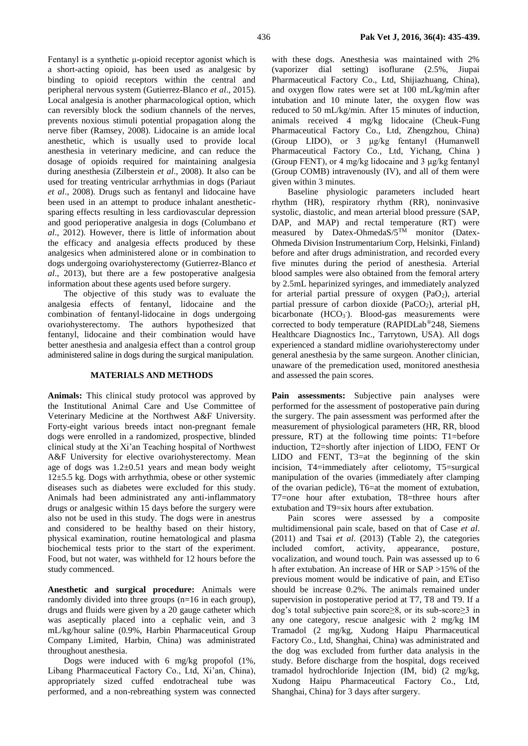Fentanyl is a synthetic μ-opioid receptor agonist which is a short-acting opioid, has been used as analgesic by binding to opioid receptors within the central and peripheral nervous system (Gutierrez-Blanco *et al*., 2015). Local analgesia is another pharmacological option, which can reversibly block the sodium channels of the nerves, prevents noxious stimuli potential propagation along the nerve fiber (Ramsey, 2008). Lidocaine is an amide local anesthetic, which is usually used to provide local anesthesia in veterinary medicine, and can reduce the dosage of opioids required for maintaining analgesia during anesthesia (Zilberstein *et al*., 2008). It also can be used for treating ventricular arrhythmias in dogs (Pariaut *et al*., 2008). Drugs such as fentanyl and lidocaine have been used in an attempt to produce inhalant anestheticsparing effects resulting in less cardiovascular depression and good perioperative analgesia in dogs (Columbano *et al*., 2012). However, there is little of information about the efficacy and analgesia effects produced by these analgesics when administered alone or in combination to dogs undergoing ovariohysterectomy (Gutierrez-Blanco *et al*., 2013), but there are a few postoperative analgesia information about these agents used before surgery.

The objective of this study was to evaluate the analgesia effects of fentanyl, lidocaine and the combination of fentanyl-lidocaine in dogs undergoing ovariohysterectomy. The authors hypothesized that fentanyl, lidocaine and their combination would have better anesthesia and analgesia effect than a control group administered saline in dogs during the surgical manipulation.

### **MATERIALS AND METHODS**

**Animals:** This clinical study protocol was approved by the Institutional Animal Care and Use Committee of Veterinary Medicine at the Northwest A&F University. Forty-eight various breeds intact non-pregnant female dogs were enrolled in a randomized, prospective, blinded clinical study at the Xi'an Teaching hospital of Northwest A&F University for elective ovariohysterectomy. Mean age of dogs was  $1.2 \pm 0.51$  years and mean body weight 12±5.5 kg. Dogs with arrhythmia, obese or other systemic diseases such as diabetes were excluded for this study. Animals had been administrated any anti-inflammatory drugs or analgesic within 15 days before the surgery were also not be used in this study. The dogs were in anestrus and considered to be healthy based on their history, physical examination, routine hematological and plasma biochemical tests prior to the start of the experiment. Food, but not water, was withheld for 12 hours before the study commenced.

**Anesthetic and surgical procedure:** Animals were randomly divided into three groups (n=16 in each group), drugs and fluids were given by a 20 gauge catheter which was aseptically placed into a cephalic vein, and 3 mL/kg/hour saline (0.9%, Harbin Pharmaceutical Group Company Limited, Harbin, China) was administrated throughout anesthesia.

Dogs were induced with 6 mg/kg propofol (1%, Libang Pharmaceutical Factory Co., Ltd, Xi'an, China), appropriately sized cuffed endotracheal tube was performed, and a non-rebreathing system was connected

with these dogs. Anesthesia was maintained with 2% (vaporizer dial setting) isoflurane (2.5%, Jiupai Pharmaceutical Factory Co., Ltd, Shijiazhuang, China), and oxygen flow rates were set at 100 mL/kg/min after intubation and 10 minute later, the oxygen flow was reduced to 50 mL/kg/min. After 15 minutes of induction, animals received 4 mg/kg lidocaine (Cheuk-Fung Pharmaceutical Factory Co., Ltd, Zhengzhou, China) (Group LIDO), or 3 μg/kg fentanyl (Humanwell Pharmaceutical Factory Co., Ltd, Yichang, China ) (Group FENT), or 4 mg/kg lidocaine and 3 μg/kg fentanyl (Group COMB) intravenously (IV), and all of them were given within 3 minutes.

Baseline physiologic parameters included heart rhythm (HR), respiratory rhythm (RR), noninvasive systolic, diastolic, and mean arterial blood pressure (SAP, DAP, and MAP) and rectal temperature (RT) were measured by Datex-OhmedaS/ $5^{T\overline{M}}$  monitor (Datex-Ohmeda Division Instrumentarium Corp, Helsinki, Finland) before and after drugs administration, and recorded every five minutes during the period of anesthesia. Arterial blood samples were also obtained from the femoral artery by 2.5mL heparinized syringes, and immediately analyzed for arterial partial pressure of oxygen  $(PaO<sub>2</sub>)$ , arterial partial pressure of carbon dioxide (PaCO<sub>2</sub>), arterial pH, bicarbonate  $(HCO<sub>3</sub>)$ . Blood-gas measurements were corrected to body temperature (RAPIDLab®248, Siemens Healthcare Diagnostics Inc., Tarrytown, USA). All dogs experienced a standard midline ovariohysterectomy under general anesthesia by the same surgeon. Another clinician, unaware of the premedication used, monitored anesthesia and assessed the pain scores.

Pain assessments: Subjective pain analyses were performed for the assessment of postoperative pain during the surgery. The pain assessment was performed after the measurement of physiological parameters (HR, RR, blood pressure, RT) at the following time points: T1=before induction, T2=shortly after injection of LIDO, FENT Or LIDO and FENT, T3=at the beginning of the skin incision, T4=immediately after celiotomy, T5=surgical manipulation of the ovaries (immediately after clamping of the ovarian pedicle), T6=at the moment of extubation, T7=one hour after extubation, T8=three hours after extubation and T9=six hours after extubation.

Pain scores were assessed by a composite multidimensional pain scale, based on that of Case *et al*. (2011) and Tsai *et al*. (2013) (Table 2), the categories included comfort, activity, appearance, posture, vocalization, and wound touch. Pain was assessed up to 6 h after extubation. An increase of HR or SAP >15% of the previous moment would be indicative of pain, and ETiso should be increase 0.2%. The animals remained under supervision in postoperative period at T7, T8 and T9. If a dog's total subjective pain score≥8, or its sub-score≥3 in any one category, rescue analgesic with 2 mg/kg IM Tramadol (2 mg/kg, Xudong Haipu Pharmaceutical Factory Co., Ltd, Shanghai, China) was administrated and the dog was excluded from further data analysis in the study. Before discharge from the hospital, dogs received tramadol hydrochloride Injection (IM, bid) (2 mg/kg, Xudong Haipu Pharmaceutical Factory Co., Ltd, Shanghai, China) for 3 days after surgery.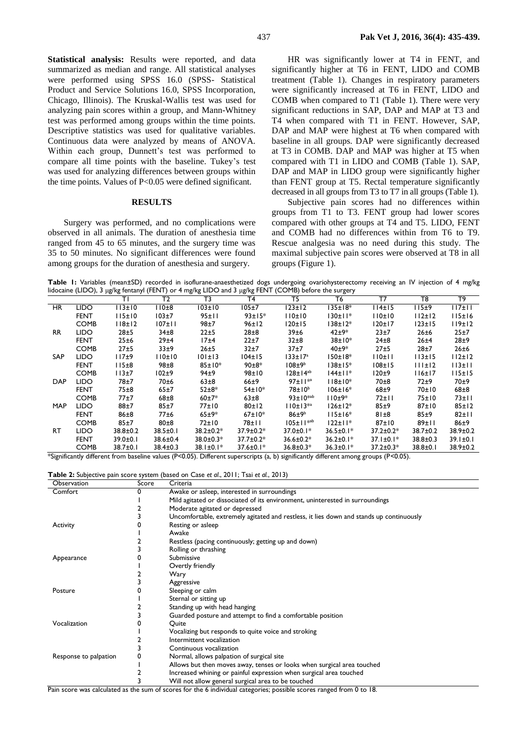**Statistical analysis:** Results were reported, and data summarized as median and range. All statistical analyses were performed using SPSS 16.0 (SPSS- Statistical Product and Service Solutions 16.0, SPSS Incorporation, Chicago, Illinois). The Kruskal-Wallis test was used for analyzing pain scores within a group, and Mann-Whitney test was performed among groups within the time points. Descriptive statistics was used for qualitative variables. Continuous data were analyzed by means of ANOVA. Within each group, Dunnett's test was performed to compare all time points with the baseline. Tukey's test was used for analyzing differences between groups within the time points. Values of P<0.05 were defined significant.

#### **RESULTS**

Surgery was performed, and no complications were observed in all animals. The duration of anesthesia time ranged from 45 to 65 minutes, and the surgery time was 35 to 50 minutes. No significant differences were found among groups for the duration of anesthesia and surgery.

HR was significantly lower at T4 in FENT, and significantly higher at T6 in FENT, LIDO and COMB treatment (Table 1). Changes in respiratory parameters were significantly increased at T6 in FENT, LIDO and COMB when compared to T1 (Table 1). There were very significant reductions in SAP, DAP and MAP at T3 and T4 when compared with T1 in FENT. However, SAP, DAP and MAP were highest at T6 when compared with baseline in all groups. DAP were significantly decreased at T3 in COMB. DAP and MAP was higher at T5 when compared with T1 in LIDO and COMB (Table 1). SAP, DAP and MAP in LIDO group were significantly higher than FENT group at T5. Rectal temperature significantly decreased in all groups from T3 to T7 in all groups (Table 1).

Subjective pain scores had no differences within groups from T1 to T3. FENT group had lower scores compared with other groups at T4 and T5. LIDO, FENT and COMB had no differences within from T6 to T9. Rescue analgesia was no need during this study. The maximal subjective pain scores were observed at T8 in all groups (Figure 1).

Table I: Variables (mean±SD) recorded in isoflurane-anaesthetized dogs undergoing ovariohysterectomy receiving an IV injection of 4 mg/kg lidocaine (LIDO), 3 μg/kg fentanyl (FENT) or 4 mg/kg LIDO and 3 μg/kg FENT (COMB) before the surgery

|            |             | ŤĪ.            | T2             | T3              | T4              | T5                   | T6              | T7               | T8             | T9          |
|------------|-------------|----------------|----------------|-----------------|-----------------|----------------------|-----------------|------------------|----------------|-------------|
| <b>HR</b>  | <b>LIDO</b> | 113±10         | 110±8          | $103 \pm 10$    | 105±7           | 123±12               | $135 \pm 18^*$  | 114±15           | 15±9           | 117±11      |
|            | <b>FENT</b> | 115±10         | 103±7          | 95±11           | $93 \pm 15*$    | 110±10               | 130±11*         | 110±10           | 112±12         | 115±16      |
|            | <b>COMB</b> | 118±12         | $107 \pm 11$   | $98+7$          | 96±12           | 120±15               | 138±12*         | 120±17           | 123±15         | 119±12      |
| <b>RR</b>  | <b>LIDO</b> | 28±5           | $34\pm8$       | 22±5            | $28\pm8$        | 39±6                 | $42 + 9*$       | 23±7             | 26±6           | 25±7        |
|            | <b>FENT</b> | 25±6           | 29±4           | 17±4            | $22 + 7$        | $32\pm8$             | $38 \pm 10^*$   | $24\pm8$         | 26±4           | 28±9        |
|            | <b>COMB</b> | 27±5           | 33±9           | $26 + 5$        | 32±7            | $37+7$               | $40 + 9*$       | 27±5             | 28±7           | 26±6        |
| <b>SAP</b> | <b>LIDO</b> | 117±9          | 110±10         | 101±13          | 104±15          | $133 \pm 17^{\circ}$ | $150±18*$       | 110±11           | 113±15         | 112±12      |
|            | <b>FENT</b> | 115±8          | $98\pm8$       | $85 \pm 10*$    | $90+8*$         | $108+9b$             | $138 \pm 15*$   | $108 \pm 15$     | 111±12         | 113±11      |
|            | <b>COMB</b> | $113+7$        | $102+9$        | 94±9            | 98±10           | $128 \pm 14^{ab}$    | 144±11*         | 120±9            | l 16±17        | 115±15      |
| <b>DAP</b> | <b>LIDO</b> | 78±7           | 70±6           | $63\pm8$        | $66 + 9$        | $97 \pm 11^{*a}$     | 118±10*         | 70 <sub>±8</sub> | $72+9$         | 70±9        |
|            | <b>FENT</b> | 75±8           | $65 + 7$       | $52 + 8*$       | 54±10*          | $78\pm10^{6}$        | $106 \pm 16*$   | 68±9             | 70±10          | $68 + 8$    |
|            | <b>COMB</b> | 77±7           | $68\pm8$       | $60+7*$         | $63\pm8$        | $93+10^{*ab}$        | 110±9*          | 72±11            | 75±10          | $73 \pm 11$ |
| <b>MAP</b> | LIDO        | $88 + 7$       | 85±7           | 77±10           | 80±12           | $110±13**$           | $126 \pm 12*$   | 85±9             | 87±10          | 85±12       |
|            | <b>FENT</b> | $86\pm8$       | $77 + 6$       | $65 + 9*$       | $67 \pm 10*$    | $86 \pm 9^b$         | $115±16*$       | 81±8             | 85±9           | 82±11       |
|            | <b>COMB</b> | 85±7           | $80\pm8$       | 72±10           | $78 \pm 11$     | $105 \pm 11^{*ab}$   | $122 \pm 11*$   | 87±10            | 89±11          | 86±9        |
| RT.        | <b>LIDO</b> | $38.8 \pm 0.2$ | $38.5 \pm 0.1$ | $38.2 \pm 0.2*$ | $37.9 \pm 0.2*$ | 37.0±0.1*            | $36.5 \pm 0.1*$ | $37.2 \pm 0.2*$  | $38.7 \pm 0.2$ | 38.9±0.2    |
|            | <b>FENT</b> | $39.0 \pm 0.1$ | $38.6 \pm 0.4$ | $38.0 \pm 0.3*$ | $37.7 \pm 0.2*$ | $36.6 \pm 0.2*$      | $36.2 \pm 0.1*$ | $37.1 \pm 0.1*$  | $38.8 \pm 0.3$ | 39.1±0.1    |
|            | <b>COMB</b> | $38.7 \pm 0.1$ | $38.4 \pm 0.3$ | $38.1 \pm 0.1*$ | $37.6 \pm 0.1*$ | $36.8 \pm 0.3*$      | $36.3 \pm 0.1*$ | $37.2 \pm 0.3*$  | $38.8 \pm 0.1$ | 38.9±0.2    |

\*Significantly different from baseline values (P<0.05). Different superscripts (a, b) significantly different among groups (P<0.05).

**Table 2:** Subjective pain score system (based on Case *et al*., 2011; Tsai *et al.*, 2013)

| Observation           | Score | Criteria                                                                                |  |  |  |
|-----------------------|-------|-----------------------------------------------------------------------------------------|--|--|--|
| Comfort               |       | Awake or asleep, interested in surroundings                                             |  |  |  |
|                       |       | Mild agitated or dissociated of its environment, uninterested in surroundings           |  |  |  |
|                       |       | Moderate agitated or depressed                                                          |  |  |  |
|                       |       | Uncomfortable, extremely agitated and restless, it lies down and stands up continuously |  |  |  |
| Activity              |       | Resting or asleep                                                                       |  |  |  |
|                       |       | Awake                                                                                   |  |  |  |
|                       |       | Restless (pacing continuously; getting up and down)                                     |  |  |  |
|                       |       | Rolling or thrashing                                                                    |  |  |  |
| Appearance            |       | Submissive                                                                              |  |  |  |
|                       |       | Overtly friendly                                                                        |  |  |  |
|                       |       | Wary                                                                                    |  |  |  |
|                       |       | Aggressive                                                                              |  |  |  |
| Posture               |       | Sleeping or calm                                                                        |  |  |  |
|                       |       | Sternal or sitting up                                                                   |  |  |  |
|                       |       | Standing up with head hanging                                                           |  |  |  |
|                       |       | Guarded posture and attempt to find a comfortable position                              |  |  |  |
| Vocalization          |       | Quite                                                                                   |  |  |  |
|                       |       | Vocalizing but responds to quite voice and stroking                                     |  |  |  |
|                       |       | Intermittent vocalization                                                               |  |  |  |
|                       |       | Continuous vocalization                                                                 |  |  |  |
| Response to palpation |       | Normal, allows palpation of surgical site                                               |  |  |  |
|                       |       | Allows but then moves away, tenses or looks when surgical area touched                  |  |  |  |
|                       |       | Increased whining or painful expression when surgical area touched                      |  |  |  |
|                       |       | Will not allow general surgical area to be touched                                      |  |  |  |

Pain score was calculated as the sum of scores for the 6 individual categories; possible scores ranged from 0 to 18.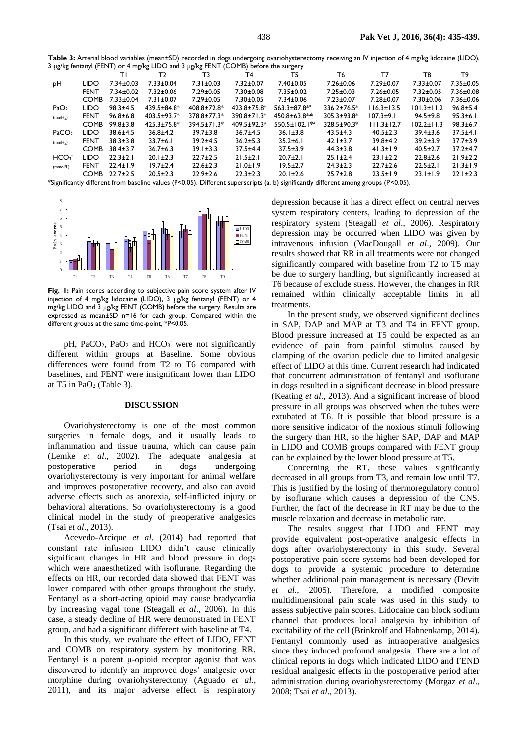**Table 3:** Arterial blood variables (mean±SD) recorded in dogs undergoing ovariohysterectomy receiving an IV injection of 4 mg/kg lidocaine (LIDO), 3 μg/kg fentanyl (FENT) or 4 mg/kg LIDO and 3 μg/kg FENT (COMB) before the surgery

| - 10 ° 0 ° -<br>ີດໍ່ດ<br>ro o<br>o <sup>-.</sup>                                                                                     |             |                 |                    |                    |                    |                           |                    |                  |                  |                 |
|--------------------------------------------------------------------------------------------------------------------------------------|-------------|-----------------|--------------------|--------------------|--------------------|---------------------------|--------------------|------------------|------------------|-----------------|
|                                                                                                                                      |             |                 | Т2                 | Т3                 | T4                 | T5                        | T6                 | т7               | T8               | T9              |
| рH                                                                                                                                   | LIDO        | $7.34 \pm 0.03$ | $7.33 \pm 0.04$    | $7.31 \pm 0.03$    | $7.32 \pm 0.07$    | 7.40±0.05                 | $7.26 \pm 0.06$    | 7.29±0.07        | $7.33 \pm 0.07$  | $7.35 \pm 0.05$ |
|                                                                                                                                      | <b>FENT</b> | $7.34 \pm 0.02$ | $7.32 \pm 0.06$    | $7.29 \pm 0.05$    | $7.30 \pm 0.08$    | $7.35 \pm 0.02$           | $7.25 \pm 0.03$    | $7.26 \pm 0.05$  | $7.32 \pm 0.05$  | $7.36 \pm 0.08$ |
|                                                                                                                                      | <b>COMB</b> | $7.33 \pm 0.04$ | $7.31 \pm 0.07$    | $7.29 \pm 0.05$    | $7.30 \pm 0.05$    | $7.34 \pm 0.06$           | $7.23 \pm 0.07$    | $7.28 \pm 0.07$  | $7.30 \pm 0.06$  | $7.36 \pm 0.06$ |
| PaO <sub>2</sub>                                                                                                                     | LIDO        | $98.3 \pm 4.5$  | 439.5±84.8*        | $408.8 \pm 72.8^*$ | $423.8 \pm 75.8^*$ | 563.3±87.8 <sup>**</sup>  | $336.2 \pm 76.5^*$ | $116.3 \pm 13.5$ | $101.3 \pm 11.2$ | $96.8 \pm 5.4$  |
| (mmHg)                                                                                                                               | <b>FENT</b> | $96.8 \pm 6.8$  | $403.5 \pm 93.7^*$ | $378.8 \pm 77.3*$  | $390.8 \pm 71.3*$  | $450.8 + 63.8^{*ab}$      | $305.3 \pm 93.8^*$ | $107.3 + 9.1$    | $94.5 \pm 9.8$   | $95.3 \pm 6.1$  |
|                                                                                                                                      | <b>COMB</b> | $99.8 \pm 3.8$  | $425.3 \pm 75.8^*$ | $394.5 \pm 71.3*$  | 409.5±92.3*        | 550.5±102.1 <sup>**</sup> | 328.5±90.3*        | $111.3 \pm 12.7$ | $102.2 \pm 11.3$ | $98.3 \pm 6.7$  |
| PaCO <sub>2</sub>                                                                                                                    | LIDO        | $38.6 \pm 4.5$  | $36.8 + 4.2$       | $39.7 \pm 3.8$     | $36.7 \pm 4.5$     | $36.1 \pm 3.8$            | $43.5 \pm 4.3$     | $40.5 \pm 2.3$   | $39.4 \pm 3.6$   | $37.5 + 4.1$    |
| (mmHg)                                                                                                                               | <b>FENT</b> | $38.3 \pm 3.8$  | $33.7 \pm 6.1$     | $39.2 + 4.5$       | $36.2 \pm 5.3$     | $35.2 \pm 6.1$            | $42.1 \pm 3.7$     | $39.8 + 4.2$     | $39.2 \pm 3.9$   | $37.7 \pm 3.9$  |
|                                                                                                                                      | <b>COMB</b> | $38.4 \pm 3.7$  | $36.7 \pm 6.3$     | $39.1 \pm 3.3$     | $37.5 + 4.4$       | $37.5 \pm 3.9$            | $44.3 \pm 3.8$     | $41.3 \pm 1.9$   | $40.5 \pm 2.7$   | $37.2 + 4.7$    |
| HCO <sub>3</sub>                                                                                                                     | LIDO        | $22.3 \pm 2.1$  | $20.1 \pm 2.3$     | $22.7 \pm 2.5$     | $21.5 \pm 2.1$     | $20.7 \pm 2.1$            | $25.1 \pm 2.4$     | $23.1 \pm 2.2$   | $22.8 \pm 2.6$   | $21.9 \pm 2.2$  |
| (mmol/L)                                                                                                                             | FENT        | $22.4 \pm 1.9$  | $19.7 \pm 2.4$     | $22.6 \pm 2.3$     | $21.0 \pm 1.9$     | $19.5 \pm 2.7$            | $24.3 \pm 2.3$     | $22.7 \pm 2.6$   | $22.5 \pm 2.1$   | $21.3 \pm 1.9$  |
|                                                                                                                                      | <b>COMB</b> | $22.7 \pm 2.5$  | $20.5 \pm 2.3$     | $22.9 \pm 2.6$     | $22.3 \pm 2.3$     | $20.1 \pm 2.6$            | $25.7 \pm 2.8$     | $23.5 \pm 1.9$   | $23.1 \pm 1.9$   | $22.1 \pm 2.3$  |
| *Significantly different from baseline values (P<0.05). Different superscripts (a, b) significantly different among groups (P<0.05). |             |                 |                    |                    |                    |                           |                    |                  |                  |                 |



**Fig. 1:** Pain scores according to subjective pain score system after IV injection of 4 mg/kg lidocaine (LIDO), 3 μg/kg fentanyl (FENT) or 4 mg/kg LIDO and 3 μg/kg FENT (COMB) before the surgery. Results are expressed as mean±SD n=16 for each group. Compared within the different groups at the same time-point, \*P<0.05.

pH, PaCO<sub>2</sub>, PaO<sub>2</sub> and HCO<sub>3</sub><sup>-</sup> were not significantly different within groups at Baseline. Some obvious differences were found from T2 to T6 compared with baselines, and FENT were insignificant lower than LIDO at T5 in PaO<sub>2</sub> (Table 3).

#### **DISCUSSION**

Ovariohysterectomy is one of the most common surgeries in female dogs, and it usually leads to inflammation and tissue trauma, which can cause pain (Lemke *et al*., 2002). The adequate analgesia at postoperative period in dogs undergoing ovariohysterectomy is very important for animal welfare and improves postoperative recovery, and also can avoid adverse effects such as anorexia, self-inflicted injury or behavioral alterations. So ovariohysterectomy is a good clinical model in the study of preoperative analgesics (Tsai *et al*., 2013).

Acevedo-Arcique *et al*. (2014) had reported that constant rate infusion LIDO didn't cause clinically significant changes in HR and blood pressure in dogs which were anaesthetized with isoflurane. Regarding the effects on HR, our recorded data showed that FENT was lower compared with other groups throughout the study. Fentanyl as a short-acting opioid may cause bradycardia by increasing vagal tone (Steagall *et al*., 2006). In this case, a steady decline of HR were demonstrated in FENT group, and had a significant different with baseline at T4.

In this study, we evaluate the effect of LIDO, FENT and COMB on respiratory system by monitoring RR. Fentanyl is a potent μ-opioid receptor agonist that was discovered to identify an improved dogs' analgesic over morphine during ovariohysterectomy (Aguado *et al*., 2011), and its major adverse effect is respiratory

depression because it has a direct effect on central nerves system respiratory centers, leading to depression of the respiratory system (Steagall *et al*., 2006). Respiratory depression may be occurred when LIDO was given by intravenous infusion (MacDougall *et al*., 2009). Our results showed that RR in all treatments were not changed significantly compared with baseline from T2 to T5 may be due to surgery handling, but significantly increased at T6 because of exclude stress. However, the changes in RR remained within clinically acceptable limits in all treatments.

In the present study, we observed significant declines in SAP, DAP and MAP at T3 and T4 in FENT group. Blood pressure increased at T5 could be expected as an evidence of pain from painful stimulus caused by clamping of the ovarian pedicle due to limited analgesic effect of LIDO at this time. Current research had indicated that concurrent administration of fentanyl and isoflurane in dogs resulted in a significant decrease in blood pressure (Keating *et al*., 2013). And a significant increase of blood pressure in all groups was observed when the tubes were extubated at T6. It is possible that blood pressure is a more sensitive indicator of the noxious stimuli following the surgery than HR, so the higher SAP, DAP and MAP in LIDO and COMB groups compared with FENT group can be explained by the lower blood pressure at T5.

Concerning the RT, these values significantly decreased in all groups from T3, and remain low until T7. This is justified by the losing of thermoregulatory control by isoflurane which causes a depression of the CNS. Further, the fact of the decrease in RT may be due to the muscle relaxation and decrease in metabolic rate.

The results suggest that LIDO and FENT may provide equivalent post-operative analgesic effects in dogs after ovariohysterectomy in this study. Several postoperative pain score systems had been developed for dogs to provide a systemic procedure to determine whether additional pain management is necessary (Devitt *et al*., 2005). Therefore, a modified composite multidimensional pain scale was used in this study to assess subjective pain scores. Lidocaine can block sodium channel that produces local analgesia by inhibition of excitability of the cell (Brinkrolf and Hahnenkamp, 2014). Fentanyl commonly used as intraoperative analgesics since they induced profound analgesia. There are a lot of clinical reports in dogs which indicated LIDO and FEND residual analgesic effects in the postoperative period after administration during ovariohysterectomy (Morgaz *et al*., 2008; Tsai *et al*., 2013).